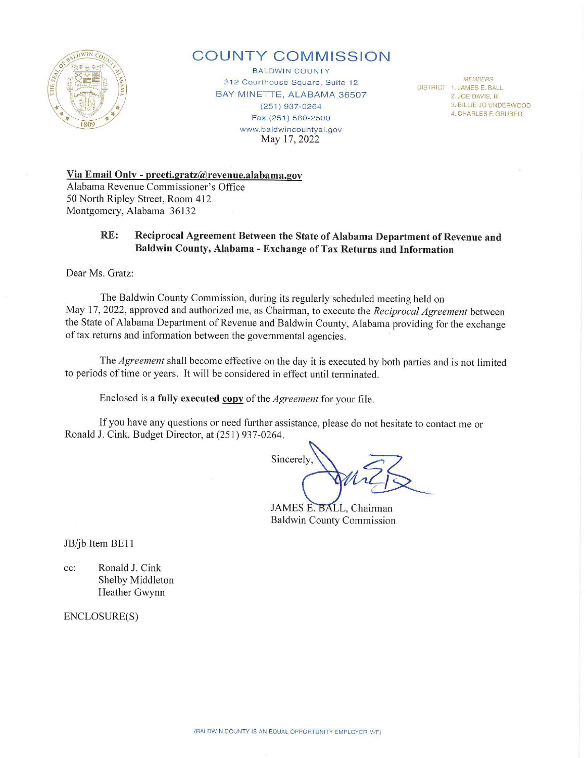

# **COUNTY COMMISSION**

BALDWIN COUNTY 312 Courthouse Square, Suite 12 BAY MINETTE, ALABAMA 36507 (251) 937-0264 Fax (251 ) 580-2500 www.baldwincountyal.gov May 17, 2022

**MEMBERS** DISTRICT 1. JAMES E. BALL 2 JOE DAVIS. Ill 3. BILLIE JO UNDERWOOD 4. CHARLES F. GRUBER

**Via Email Only - preeti.gratz@revenue.alabama.gov**  Alabama Revenue Commissioner's Office 50 Notih Ripley Street, Room 412 Montgomery, Alabama 36132

## **RE: Reciprocal Agreement Between the State of Alabama Department of Revenue and Baldwin County, Alabama - Exchange of Tax Returns and Information**

Dear Ms. Gratz:

The Baldwin County Commission, during its regularly scheduled meeting held on May 17, 2022, approved and authorized me, as Chairman, to execute the *Reciprocal Agreement* between the State of Alabama Department of Revenue and Baldwin County, Alabama providing for the exchange of tax returns and infotmation between the governmental agencies.

The *Agreement* shall become effective on the day it is executed by both patties and is not limited to periods of time or years. It will be considered in effect until terminated.

Enclosed is a fully executed copy of the *Agreement* for your file.

If you have any questions or need further assistance, please do not hesitate to contact me or Ronald J. Cink, Budget Director, at (251) 937-0264.

Sincerely

JAMES E. BALL, Chairman Baldwin County Commission

JB/jb Item BE11

cc: Ronald J. Cink Shelby Middleton Heather Gwynn

ENCLOSURE(S)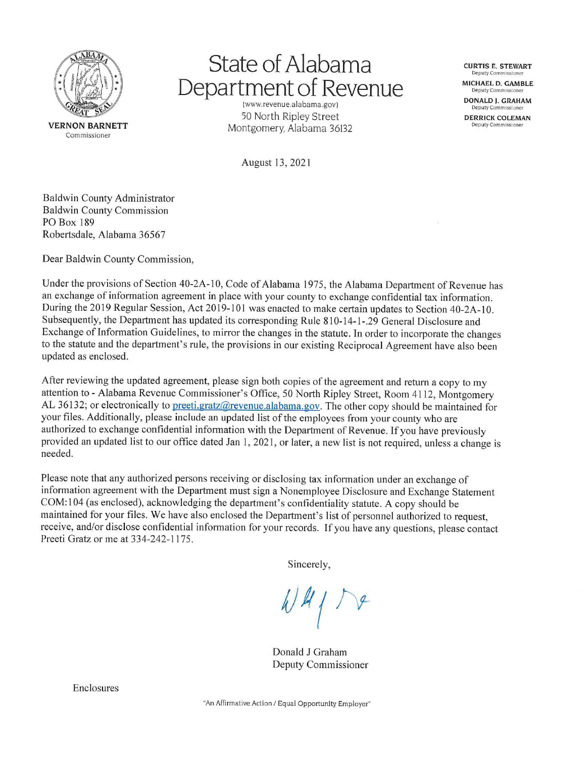

# **State of Alabama Department of Revenue**

(www.revenue.alabama.gov) 50 North Ripley Street Montgomery, Alabama 36132

**CURTIS E. STEWART Deputy Commissione MICHAEL D. GAMBLE Deputy Commission DONALD J. GRAHAM Deputy Commissione DERRICK COLEMAN** 

**Deputy Commissione** 

August 13, 2021

Baldwin County Administrator Baldwin County Commission PO Box 189 Robertsdale, Alabama 36567

Dear Baldwin County Commission,

Under the provisions of Section 40-2A-10, Code of Alabama 1975, the Alabama Department of Revenue has an exchange of information agreement in place with your county to exchange confidential tax information. During the 2019 Regular Session, Act 2019-101 was enacted to make certain updates to Section 40-2A-10. Subsequently, the Department has updated its corresponding Rule 810-14-1-.29 General Disclosure and Exchange of Information Guidelines, to mirror the changes in the statute. In order to incorporate the changes to the statute and the department's rule, the provisions in our existing Reciprocal Agreement have also been updated as enclosed.

After reviewing the updated agreement, please sign both copies of the agreement and return a copy to my attention to - Alabama Revenue Commissioner's Office, 50 North Ripley Street, Room 4112, Montgomery AL 36132; or electronically to preeti.gratz@revenue.alabama.gov. The other copy should be maintained for your files. Additionally, please include an updated list of the employees from your county who are authorized to exchange confidential information with the Department of Revenue. If you have previously provided an updated list to our office dated Jan I, 2021 , or later, a new list is not required, unless a change is needed.

Please note that any authorized persons receiving or disclosing tax information under an exchange of information agreement with the Department must sign a Nonemployee Disclosure and Exchange Statement COM: 104 (as enclosed), acknowledging the department's confidentiality statute. A copy should be maintained for your files. We have also enclosed the Department's list of personnel authorized to request, receive, and/or disclose confidential information for your records. If you have any questions, please contact Preeti Gratz or me at 334-242-1175.

Sincerely,

Donald J Graham Deputy Commissioner

Enclosures

"An Affirmative Action/ Equal Opportunity Employer"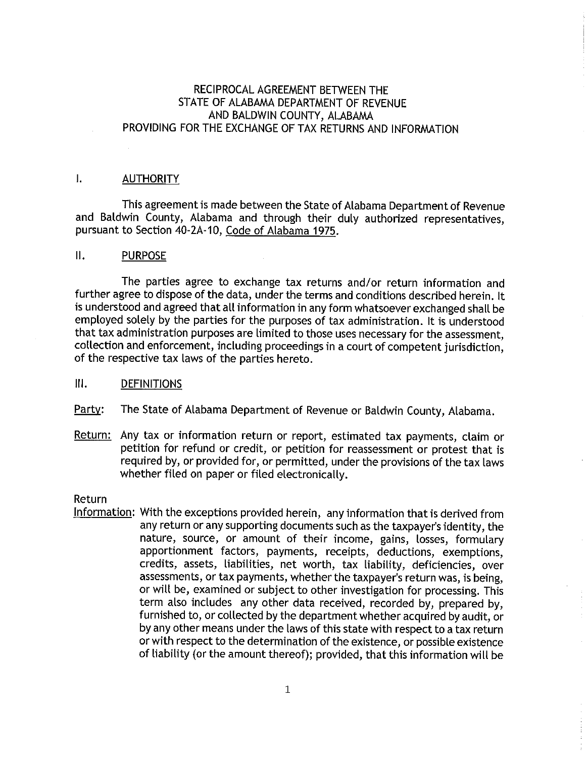# RECIPROCAL AGREEMENT BETWEEN THE STATE OF ALABAMA DEPARTMENT OF REVENUE AND BALDWIN COUNTY, ALABAMA PROVIDING FOR THE EXCHANGE OF TAX RETURNS AND INFORMATION

#### I. **AUTHORITY**

This agreement is made between the State of Alabama Department of Revenue and Baldwin County, Alabama and through their duly authorized representatives, pursuant to Section 40-2A-10, Code of Alabama 1975.

#### II. PURPOSE

The parties agree to exchange tax returns and/or return information and further agree to dispose of the data, under the terms and conditions described herein. It is understood and agreed that all information in any form whatsoever exchanged shall be employed solely by the parties for the purposes of tax administration. It is understood that tax administration purposes are limited to those uses necessary for the assessment, collection and enforcement, including proceedings in a court of competent jurisdiction, of the respective tax laws of the parties hereto.

#### III. DEFINITIONS

Party: The State of Alabama Department of Revenue or Baldwin County, Alabama.

Return: Any tax or information return or report, estimated tax payments, claim or petition for refund or credit, or petition for reassessment or protest that is required by, or provided for, or permitted, under the provisions of the tax laws whether filed on paper or filed electronically.

#### Return

Information: With the exceptions provided herein, any information that is derived from any return or any supporting documents such as the taxpayer's identity, the nature, source, or amount of their income, gains, losses, formulary apportionment factors, payments, receipts, deductions, exemptions, credits, assets, liabilities, net worth, tax liability, deficiencies, over assessments, or tax payments, whether the taxpayer's return was, is being, or will be, examined or subject to other investigation for processing. This term also includes any other data received, recorded by, prepared by, furnished to, or collected by the department whether acquired by audit, or by any other means under the laws of this state with respect to a tax return or with respect to the determination of the existence, or possible existence of liability (or the amount thereof); provided, that this information will be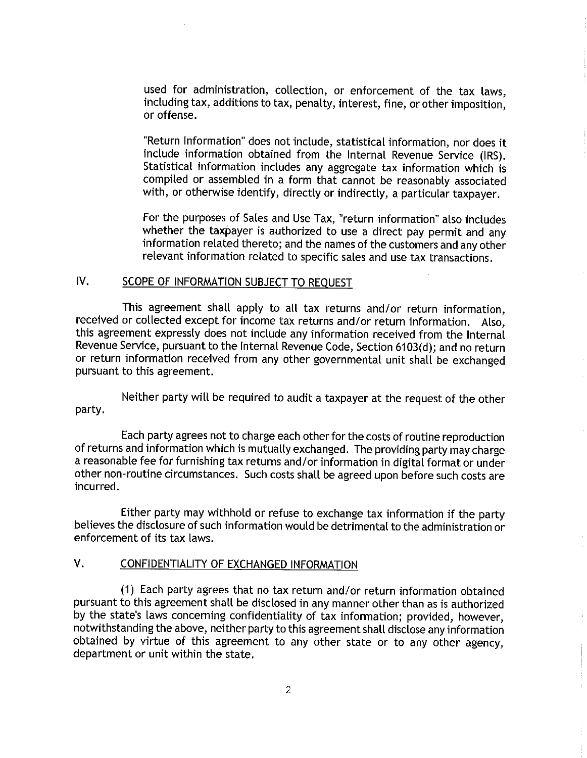used for administration, collection, or enforcement of the tax laws, including tax, additions to tax, penalty, interest, fine, or other imposition, or offense.

"Return Information" does not include, statistical information, nor does it include information obtained from the Internal Revenue Service (IRS). Statistical information includes any aggregate tax information which is compiled or assembled in a form that cannot be reasonably associated with, or otherwise identify, directly or indirectly, a particular taxpayer.

For the purposes of Sales and Use Tax, "return information" also includes whether the taxpayer is authorized to use a direct pay permit and any information related thereto; and the names of the customers and any other relevant information related to specific sales and use tax transactions.

#### IV. SCOPE OF INFORMATION SUBJECT TO REQUEST

**This** agreement shall apply to all tax returns and/or return information, received or collected except for income tax returns and/or return information. Also, this agreement expressly does not include any information received from the Internal Revenue Service, pursuant to the Internal Revenue Code, Section 6103(d); and no return or return information received from any other governmental unit shall be exchanged pursuant to this agreement.

Neither party will be required to audit a taxpayer at the request of the other party.

Each party agrees not to charge each other for the costs of routine reproduction of returns and information which is mutually exchanged. The providing party may charge a reasonable fee for furnishing tax returns and/or information in digital format or under other non-routine circumstances. Such costs shall be agreed upon before such costs are incurred.

Either party may withhold or refuse to exchange tax information if the party believes the disclosure of such information would be detrimental to the administration or enforcement of its tax laws.

## V. CONFIDENTIALITY OF EXCHANGED INFORMATION

(1) Each party agrees that no tax return and/or return information obtained pursuant to this agreement shall be disclosed in any manner other than as is authorized by the state's laws concerning confidentiality of tax information; provided, however, notwithstanding the above, neither party to this agreement shall disclose any information obtained by virtue of this agreement to any other state or to any other agency, department or unit within the state.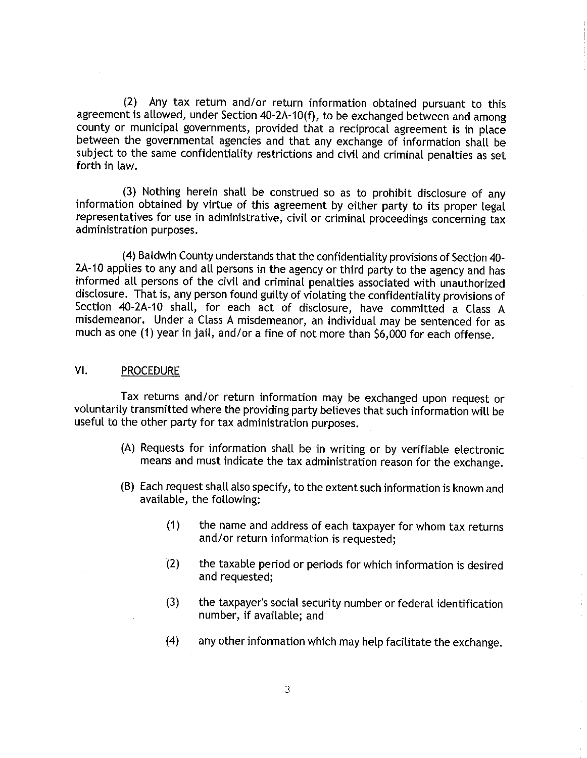(2) Any tax return and/or return information obtained pursuant to this agreement is allowed, under Section 40-2A-10(f), to be exchanged between and among county or municipal governments, provided that a reciprocal agreement is in place between the governmental agencies and that any exchange of information shall be subject to the same confidentiality restrictions and civil and criminal penalties as set forth in law.

(3) Nothing herein shall be construed so as to prohibit disclosure of any information obtained by virtue of this agreement by either party to its proper legal representatives for use in administrative, civil or criminal proceedings concerning tax administration purposes.

(4) Baldwin County understands that the confidentiality provisions of Section 40- 2A-10 applies to any and all persons in the agency or third party to the agency and has informed all persons of the civil and criminal penalties associated with unauthorized disclosure. That is, any person found guilty of violating the confidentiality provisions of Section 40-2A-10 shall, for each act of disclosure, have committed a Class A misdemeanor. Under a Class A misdemeanor, an individual may be sentenced for as much as one (1) year in jail, and/or a fine of not more than \$6,000 for each offense.

# VI. PROCEDURE

Tax returns and/or return information may be exchanged upon request or voluntarily transmitted where the providing party believes that such information will be useful to the other party for tax administration purposes.

- (A) Requests for information shall be in writing or by verifiable electronic means and must indicate the tax administration reason for the exchange.
- (B) Each request shall also specify, to the extent such information is known and available, the following:
	- (1) the name and address of each taxpayer for whom tax returns and/or return information is requested;
	- (2) the taxable period or periods for which information is desired and requested;
	- (3) the taxpayer's social security number or federal identification number, if available; and
	- (4) any other information which may help facilitate the exchange.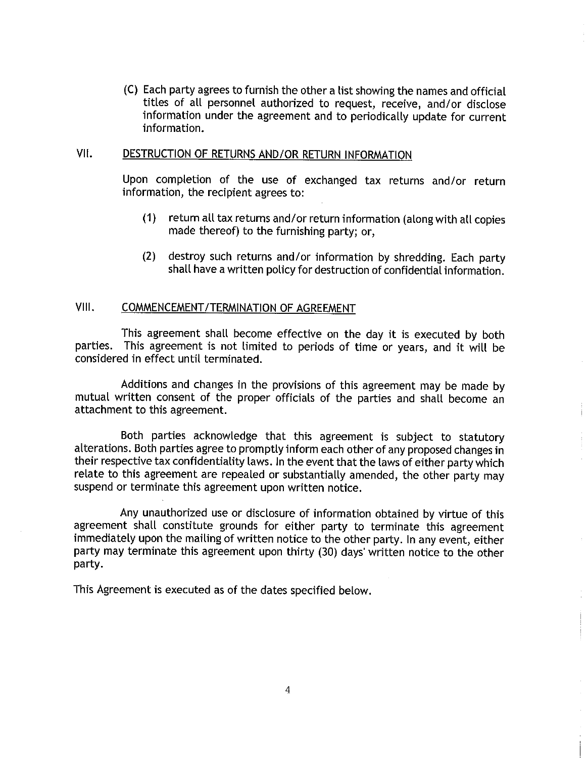(C) Each party agrees to furnish the other a list showing the names and official titles of all personnel authorized to request, receive, and/or disclose information under the agreement and to periodically update for current information.

# VII. DESTRUCTION OF RETURNS AND/OR RETURN INFORMATION

Upon completion of the use of exchanged tax returns and/or return information, the recipient agrees to:

- (1) return all tax returns and/or return information (along with all copies made thereof) to the furnishing party; or,
- (2) destroy such returns and/or information by shredding. Each party shall have a written policy for destruction of confidential information.

# VIII. COMMENCEMENT/TERMINATION OF AGREEMENT

This agreement shall become effective on the day it is executed by both parties. This agreement is not limited to periods of time or years, and it will be considered in effect until terminated.

Additions and changes in the provisions of this agreement may be made by mutual written consent of the proper officials of the parties and shall become an attachment to this agreement.

Both parties acknowledge that this agreement is subject to statutory alterations. Both parties agree to promptly inform each other of any proposed changes in their respective tax confidentiality laws. In the event that the laws of either party which relate to this agreement are repealed or substantially amended, the other party may suspend or terminate this agreement upon written notice.

Any unauthorized use or disclosure of information obtained by virtue of this agreement shall constitute grounds for either party to terminate this agreement immediately upon the mailing of written notice to the other party. In any event, either party may terminate this agreement upon thirty (30) days' written notice to the other party.

This Agreement is executed as of the dates specified below.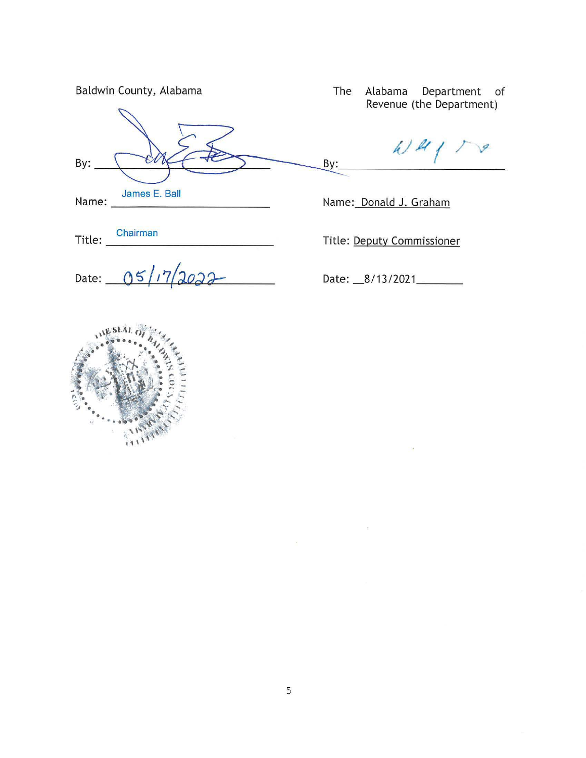|       | Baldwin County, Alabama |
|-------|-------------------------|
|       |                         |
| By:   |                         |
| Name: | James E. Ball           |

Title: Chairman **Chairman** 

Date: 05/17/2022

The Alabama Department of Revenue (the Department)

 $41178$ 

Name: Donald J. Graham

By:

Title: Deputy Commissioner

Date: 8/13/2021